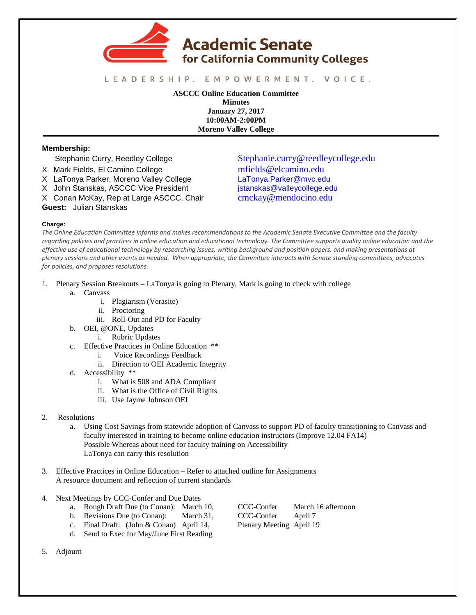

## LEADERSHIP. EMPOWERMENT. VOICE.

**ASCCC Online Education Committee Minutes January 27, 2017 10:00AM-2:00PM Moreno Valley College**

## **Membership:**

- X Mark Fields, El Camino College [mfields@elcamino.edu](mailto:mfields@elcamino.edu)
- X LaTonya Parker, Moreno Valley College [LaTonya.Parker@mvc.edu](mailto:LaTonya.Parker@mvc.edu)
- X John Stanskas, ASCCC Vice President istanskas@valleycollege.edu
- X Conan McKay, Rep at Large ASCCC, Chair [cmckay@mendocino.edu](mailto:cmckay@mendocino.edu)
- **Guest:** Julian Stanskas

Stephanie Curry, Reedley College [Stephanie.curry@reedleycollege.edu](mailto:Stephanie.curry@reedleycollege.edu)

## **Charge:**

*The Online Education Committee informs and makes recommendations to the Academic Senate Executive Committee and the faculty regarding policies and practices in online education and educational technology. The Committee supports quality online education and the effective use of educational technology by researching issues, writing background and position papers, and making presentations at plenary sessions and other events as needed. When appropriate, the Committee interacts with Senate standing committees, advocates for policies, and proposes resolutions.*

- 1. Plenary Session Breakouts LaTonya is going to Plenary, Mark is going to check with college
	- a. Canvass
		- i. Plagiarism (Verasite)
		- ii. Proctoring
		- iii. Roll-Out and PD for Faculty
	- b. OEI, @ONE, Updates
		- i. Rubric Updates
	- c. Effective Practices in Online Education \*\*
		- i. Voice Recordings Feedback
		- ii. Direction to OEI Academic Integrity
	- d. Accessibility \*\*
		- i. What is 508 and ADA Compliant
		- ii. What is the Office of Civil Rights
		- iii. Use Jayme Johnson OEI
- 2. Resolutions
	- a. Using Cost Savings from statewide adoption of Canvass to support PD of faculty transitioning to Canvass and faculty interested in training to become online education instructors (Improve 12.04 FA14) Possible Whereas about need for faculty training on Accessibility LaTonya can carry this resolution
- 3. Effective Practices in Online Education Refer to attached outline for Assignments A resource document and reflection of current standards
- 4. Next Meetings by CCC-Confer and Due Dates
	- a. Rough Draft Due (to Conan): March 10, CCC-Confer March 16 afternoon
	- b. Revisions Due (to Conan): March 31, CCC-Confer April 7
	- c. Final Draft: (John & Conan) April 14, Plenary Meeting April 19
	- d. Send to Exec for May/June First Reading

5. Adjourn